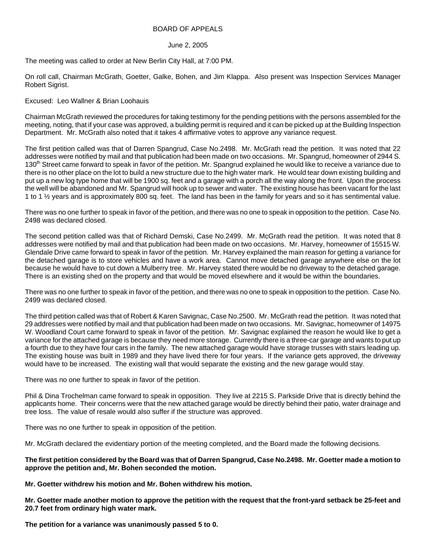## BOARD OF APPEALS

## June 2, 2005

The meeting was called to order at New Berlin City Hall, at 7:00 PM.

On roll call, Chairman McGrath, Goetter, Galke, Bohen, and Jim Klappa. Also present was Inspection Services Manager Robert Sigrist.

## Excused: Leo Wallner & Brian Loohauis

Chairman McGrath reviewed the procedures for taking testimony for the pending petitions with the persons assembled for the meeting, noting, that if your case was approved, a building permit is required and it can be picked up at the Building Inspection Department. Mr. McGrath also noted that it takes 4 affirmative votes to approve any variance request.

The first petition called was that of Darren Spangrud, Case No.2498. Mr. McGrath read the petition. It was noted that 22 addresses were notified by mail and that publication had been made on two occasions. Mr. Spangrud, homeowner of 2944 S. 130<sup>th</sup> Street came forward to speak in favor of the petition. Mr. Spangrud explained he would like to receive a variance due to there is no other place on the lot to build a new structure due to the high water mark. He would tear down existing building and put up a new log type home that will be 1900 sq. feet and a garage with a porch all the way along the front. Upon the process the well will be abandoned and Mr. Spangrud will hook up to sewer and water. The existing house has been vacant for the last 1 to 1 ½ years and is approximately 800 sq. feet. The land has been in the family for years and so it has sentimental value.

There was no one further to speak in favor of the petition, and there was no one to speak in opposition to the petition. Case No. 2498 was declared closed.

The second petition called was that of Richard Demski, Case No.2499. Mr. McGrath read the petition. It was noted that 8 addresses were notified by mail and that publication had been made on two occasions. Mr. Harvey, homeowner of 15515 W. Glendale Drive came forward to speak in favor of the petition. Mr. Harvey explained the main reason for getting a variance for the detached garage is to store vehicles and have a work area. Cannot move detached garage anywhere else on the lot because he would have to cut down a Mulberry tree. Mr. Harvey stated there would be no driveway to the detached garage. There is an existing shed on the property and that would be moved elsewhere and it would be within the boundaries.

There was no one further to speak in favor of the petition, and there was no one to speak in opposition to the petition. Case No. 2499 was declared closed.

The third petition called was that of Robert & Karen Savignac, Case No.2500. Mr. McGrath read the petition. It was noted that 29 addresses were notified by mail and that publication had been made on two occasions. Mr. Savignac, homeowner of 14975 W. Woodland Court came forward to speak in favor of the petition. Mr. Savignac explained the reason he would like to get a variance for the attached garage is because they need more storage. Currently there is a three-car garage and wants to put up a fourth due to they have four cars in the family. The new attached garage would have storage trusses with stairs leading up. The existing house was built in 1989 and they have lived there for four years. If the variance gets approved, the driveway would have to be increased. The existing wall that would separate the existing and the new garage would stay.

There was no one further to speak in favor of the petition.

Phil & Dina Trochelman came forward to speak in opposition. They live at 2215 S. Parkside Drive that is directly behind the applicants home. Their concerns were that the new attached garage would be directly behind their patio, water drainage and tree loss. The value of resale would also suffer if the structure was approved.

There was no one further to speak in opposition of the petition.

Mr. McGrath declared the evidentiary portion of the meeting completed, and the Board made the following decisions.

**The first petition considered by the Board was that of Darren Spangrud, Case No.2498. Mr. Goetter made a motion to approve the petition and, Mr. Bohen seconded the motion.** 

**Mr. Goetter withdrew his motion and Mr. Bohen withdrew his motion.** 

**Mr. Goetter made another motion to approve the petition with the request that the front-yard setback be 25-feet and 20.7 feet from ordinary high water mark.** 

**The petition for a variance was unanimously passed 5 to 0.**